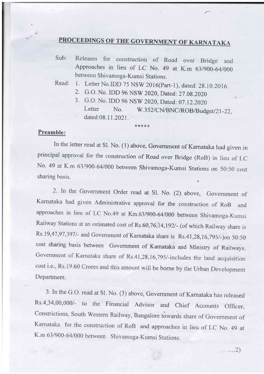## PROCEEDINGS OF THE GOVERNMENT OF KARNATAKA

Sub: Releases for construction of Road over Bridge and Approaches in lieu of LC No. 49 at K.m 63/900-64/000 between Shivamoga-Kumsi Stations.

Read: 1. Letter No.IDD 75 NSW 2016(Part-1), dated: 28.10.2016.

2. G.O. No. IDD 96 NSW 2020, Dated: 27.08.2020

\*\*\*\*\*

3. G.O. No. IDD 96 NSW 2020, Dated: 07.12.2020<br>Letter No. W.352/CN/BNC/ROB/Budget/21-22, dated:08.11.2021.

## Preamble:

In the letter read at Sl. No. (1) above, Government of Karnataka had given in principal approval for the construction of Road over Bridge (RoB) in lieu of LC No. 49 at K.m 63/900-64/000 between Shivamoga-Kumsi Stations on 50:50 cost sharing basis.

2. In the Government Order read at Sl. No. (2) above, Government of Kamataka had given Administrative approval for the construction of RoB and approaches in lieu of LC No.49 at Km.63/900-64/000 between Shivamoga-Kumsi Railway Stations at an estimated cost of Rs.60,76,14,192/- (of which Railway share is Rs.19,47,97,397/- and Government of Karnataka share is Rs.41,28,16,795/-)on 50:50 cost sharing basis between Government of Kamataka and Ministry of Railways. Government of Karnataka share of Rs.41,28,16,795/-includes the land acquisition cost i.e., Rs.19.60 Crores and this amount will be borne by the Urban Development Department.

3. In the G.O. read at Sl. No. (3) above, Government of Karnataka has released Rs.4,34,00,000/- to the Financial Advisor and Chief Accounts Officer, Constrictions, South Western Railway, Bangalore towards share of Government of Karnataka for the construction of RoB and approaches in lieu of LC No. 49 at K.m 63/900-64/000 between Shivamoga-Kumsi Stations.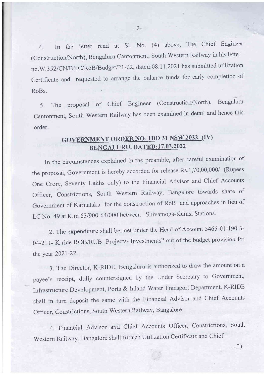4. In the letter read at Sl. No. (4) above, The Chief Engineer (Construction/North), Bengaluru Cantonment, South Western Railway in his letter no.W.352/CN/BNC/RoB/Budget/21-22, dated:08.11.2021 has submitted utilization Certificate and requested to arrange the balance funds for early completion of RoBs.

5. The proposal of Chief Engineer (Construction/North), Bengaluru cantonment, south western Raiiway has been examined in detail and hence this order.

## GOVERNMENT ORDER NO: IDD 31 NSW 2022-(IV) BENGALURU, DATED:17.03.2022

In the circumstances explained in the preamble, after careful examination of the proposal, Government is hereby accorded for release Rs.1,70,00,000/- (Rupees One Crore, Seventy Lakhs only) to the Financial Advisor and Chief Accounts Officer, Constrictions, South Western Railway, Bangalore towards share of Government of Karnataka for the construction of RoB and approaches in lieu of LC No. 49 at K.m 63/900-64/000 between Shivamoga-Kumsi Stations.

2. The expenditure shall be met under the Head of Account 5465-01-190-3- 04-211- K-ride ROB/RIIB Projects- Investments" out of the budget provision for the year 2021-22.

3. The Director, K-RIDE, Bengaluru is authorized to draw the amount on a payee's receipt, dully countersigned by the Under Secretary to Government, Infrastructure Development, Ports & Inland Water Transport Department. K-RIDE shall in turn deposit the same with the Financial Advisor and Chief Accounts Officer, Constrictions, South Western Railway, Bangalore.

4. Financial Advisor and Chief Accounts Officer, Constrictions, South Western Railway, Bangalore shall furnish Utilization Certificate and Chief

. . ..3)

 $-2-$